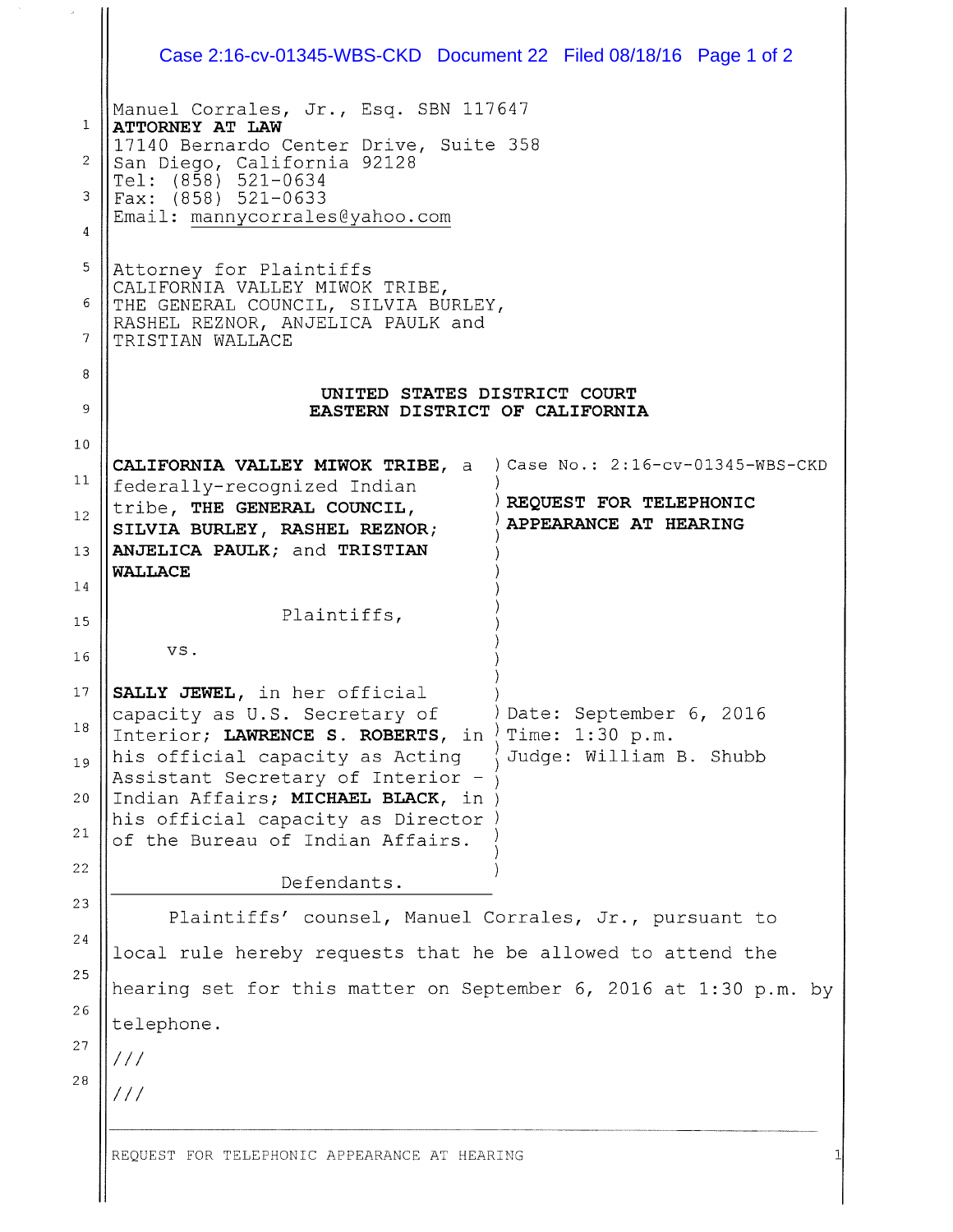|                | Case 2:16-cv-01345-WBS-CKD Document 22 Filed 08/18/16 Page 1 of 2                                                                                                                                                     |                                                 |  |
|----------------|-----------------------------------------------------------------------------------------------------------------------------------------------------------------------------------------------------------------------|-------------------------------------------------|--|
| $\mathbf{1}$   | Manuel Corrales, Jr., Esq. SBN 117647<br>ATTORNEY AT LAW<br>17140 Bernardo Center Drive, Suite 358<br>San Diego, California 92128<br>Tel: (858) 521-0634<br>Fax: $(858) 521 - 0633$<br>Email: mannycorrales@yahoo.com |                                                 |  |
| $\overline{2}$ |                                                                                                                                                                                                                       |                                                 |  |
| 3              |                                                                                                                                                                                                                       |                                                 |  |
| 4              |                                                                                                                                                                                                                       |                                                 |  |
| 5              | Attorney for Plaintiffs<br>CALIFORNIA VALLEY MIWOK TRIBE,<br>THE GENERAL COUNCIL, SILVIA BURLEY,<br>RASHEL REZNOR, ANJELICA PAULK and<br>TRISTIAN WALLACE                                                             |                                                 |  |
| 6              |                                                                                                                                                                                                                       |                                                 |  |
| 7              |                                                                                                                                                                                                                       |                                                 |  |
| 8              | UNITED STATES DISTRICT COURT                                                                                                                                                                                          |                                                 |  |
| 9              | EASTERN DISTRICT OF CALIFORNIA                                                                                                                                                                                        |                                                 |  |
| 10             | CALIFORNIA VALLEY MIWOK TRIBE, a ) Case No.: 2:16-cv-01345-WBS-CKD                                                                                                                                                    |                                                 |  |
| 11             | federally-recognized Indian                                                                                                                                                                                           |                                                 |  |
| 12             | tribe, THE GENERAL COUNCIL,<br>SILVIA BURLEY, RASHEL REZNOR;                                                                                                                                                          | REQUEST FOR TELEPHONIC<br>APPEARANCE AT HEARING |  |
| 13             | ANJELICA PAULK; and TRISTIAN<br><b>WALLACE</b>                                                                                                                                                                        |                                                 |  |
| 14             |                                                                                                                                                                                                                       |                                                 |  |
| 15             | Plaintiffs,                                                                                                                                                                                                           |                                                 |  |
| 16             | VS.                                                                                                                                                                                                                   |                                                 |  |
| 17             | SALLY JEWEL, in her official<br>capacity as U.S. Secretary of                                                                                                                                                         | Date: September 6, 2016                         |  |
| 18             | Interior; LAWRENCE S. ROBERTS, in                                                                                                                                                                                     | Time: 1:30 p.m.                                 |  |
| 19             | his official capacity as Acting<br>Assistant Secretary of Interior -                                                                                                                                                  | Judge: William B. Shubb                         |  |
| 20             | Indian Affairs; MICHAEL BLACK, in<br>his official capacity as Director                                                                                                                                                |                                                 |  |
| 21             | of the Bureau of Indian Affairs.                                                                                                                                                                                      |                                                 |  |
| 22             | Defendants.                                                                                                                                                                                                           |                                                 |  |
| 23             | Plaintiffs' counsel, Manuel Corrales, Jr., pursuant to                                                                                                                                                                |                                                 |  |
| 24             | local rule hereby requests that he be allowed to attend the<br>hearing set for this matter on September 6, 2016 at 1:30 p.m. by                                                                                       |                                                 |  |
| 25<br>26       |                                                                                                                                                                                                                       |                                                 |  |
| 27             | telephone.                                                                                                                                                                                                            |                                                 |  |
| 28             | $\frac{1}{2}$                                                                                                                                                                                                         |                                                 |  |
|                | $\frac{1}{2}$                                                                                                                                                                                                         |                                                 |  |
|                |                                                                                                                                                                                                                       |                                                 |  |
|                | REQUEST FOR TELEPHONIC APPEARANCE AT HEARING                                                                                                                                                                          |                                                 |  |
|                |                                                                                                                                                                                                                       |                                                 |  |